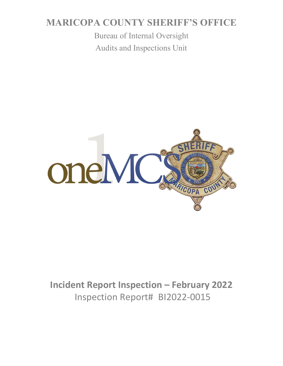# **MARICOPA COUNTY SHERIFF'S OFFICE**

Bureau of Internal Oversight Audits and Inspections Unit



# **Incident Report Inspection – February 2022** Inspection Report# BI2022-0015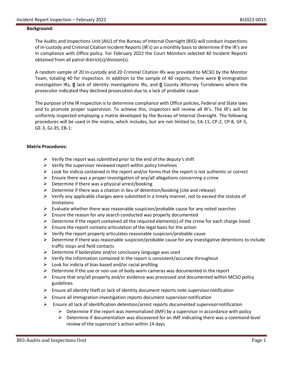#### **Background:**

The Audits and Inspections Unit (AIU) of the Bureau of Internal Oversight (BIO) will conduct inspections of In-custody and Criminal Citation Incident Reports (IR's) on a monthly basis to determine if the IR's are in compliance with Office policy. For February 2022 the Court Monitors selected 40 Incident Reports obtained from all patrol district(s)/division(s).

A random sample of 20 In-custody and 20 Criminal Citation IRs was provided to MCSO by the Monitor Team, totaling 40 for inspection. In addition to the sample of 40 reports, there were **0** immigration investigation IRs, **0** lack of identity investigations IRs, and **0** County Attorney Turndowns where the prosecutor indicated they declined prosecution due to a lack of probable cause.

The purpose of the IR inspection is to determine compliance with Office policies, Federal and State laws and to promote proper supervision. To achieve this, inspectors will review all IR's. The IR's will be uniformly inspected employing a matrix developed by the Bureau of Internal Oversight. The following procedures will be used in the matrix, which includes, but are not limited to, EA-11, CP-2, CP-8, GF-5, GE-3, GJ-35, EB-1:

#### **Matrix Procedures:**

- $\triangleright$  Verify the report was submitted prior to the end of the deputy's shift
- $\triangleright$  Verify the supervisor reviewed report within policy timelines
- $\triangleright$  Look for indicia contained in the report and/or forms that the report is not authentic or correct
- Ensure there was a proper investigation of any/all allegations concerning a crime
- $\triangleright$  Determine if there was a physical arrest/booking
- $\triangleright$  Determine if there was a citation in lieu of detention/booking (cite and release)
- $\triangleright$  Verify any applicable charges were submitted in a timely manner, not to exceed the statute of limitations
- $\triangleright$  Evaluate whether there was reasonable suspicion/probable cause for any noted searches
- $\triangleright$  Ensure the reason for any search conducted was properly documented
- $\triangleright$  Determine if the report contained all the required element(s) of the crime for each charge listed
- $\triangleright$  Ensure the report contains articulation of the legal basis for the action
- $\triangleright$  Verify the report properly articulates reasonable suspicion/probable cause
- $\triangleright$  Determine if there was reasonable suspicion/probable cause for any investigative detentions to include traffic stops and field contacts
- $\triangleright$  Determine if boilerplate and/or conclusory language was used
- $\triangleright$  Verify the information contained in the report is consistent/accurate throughout
- $\triangleright$  Look for indicia of bias-based and/or racial profiling
- $\triangleright$  Determine if the use or non-use of body-worn cameras was documented in the report
- $\triangleright$  Ensure that any/all property and/or evidence was processed and documented within MCSO policy guidelines
- $\triangleright$  Ensure all identity theft or lack of identity document reports note supervisor notification
- $\triangleright$  Ensure all immigration investigation reports document supervisor notification
- $\triangleright$  Ensure all lack of identification detention/arrest reports documented supervisornotification
	- $\triangleright$  Determine if the report was memorialized (IMF) by a supervisor in accordance with policy
	- $\triangleright$  Determine if documentation was discovered for an IMF indicating there was a command-level review of the supervisor's action within 14 days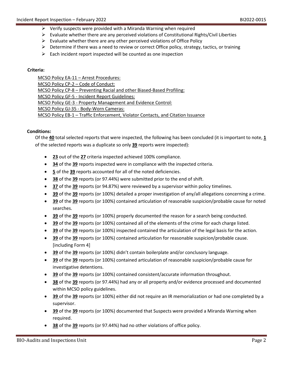- $\triangleright$  Verify suspects were provided with a Miranda Warning when required
- $\triangleright$  Evaluate whether there are any perceived violations of Constitutional Rights/Civil Liberties
- $\triangleright$  Evaluate whether there are any other perceived violations of Office Policy
- $\triangleright$  Determine if there was a need to review or correct Office policy, strategy, tactics, or training
- $\triangleright$  Each incident report inspected will be counted as one inspection

### **Criteria:**

MCSO Policy EA-11 – Arrest Procedures: MCSO Policy CP-2 – Code of Conduct: MCSO Policy CP-8 – Preventing Racial and other Biased-Based Profiling: MCSO Policy GF-5 - Incident Report Guidelines: MCSO Policy GE-3 - Property Management and Evidence Control: MCSO Policy GJ-35 - Body-Worn Cameras: MCSO Policy EB-1 – Traffic Enforcement, Violator Contacts, and Citation Issuance

### **Conditions:**

Of the **40** total selected reports that were inspected, the following has been concluded (it is important to note, **1** of the selected reports was a duplicate so only **39** reports were inspected):

- **23** out of the **27** criteria inspected achieved 100% compliance.
- **34** of the **39** reports inspected were in compliance with the inspected criteria.
- **5** of the **39** reports accounted for all of the noted deficiencies.
- **38** of the **39** reports (or 97.44%) were submitted prior to the end of shift.
- **37** of the **39** reports (or 94.87%) were reviewed by a supervisor within policy timelines.
- **39** of the **39** reports (or 100%) detailed a proper investigation of any/all allegations concerning a crime.
- **39** of the **39** reports (or 100%) contained articulation of reasonable suspicion/probable cause for noted searches.
- **39** of the **39** reports (or 100%) properly documented the reason for a search being conducted.
- **39** of the **39** reports (or 100%) contained all of the elements of the crime for each charge listed.
- **39** of the **39** reports (or 100%) inspected contained the articulation of the legal basis for the action.
- **39** of the **39** reports (or 100%) contained articulation for reasonable suspicion/probable cause. [including Form 4]
- **39** of the **39** reports (or 100%) didn't contain boilerplate and/or conclusory language.
- **39** of the **39** reports (or 100%) contained articulation of reasonable suspicion/probable cause for investigative detentions.
- **39** of the **39** reports (or 100%) contained consistent/accurate information throughout.
- **38** of the **39** reports (or 97.44%) had any or all property and/or evidence processed and documented within MCSO policy guidelines.
- **39** of the **39** reports (or 100%) either did not require an IR memorialization or had one completed by a supervisor.
- **39** of the **39** reports (or 100%) documented that Suspects were provided a Miranda Warning when required.
- **38** of the **39** reports (or 97.44%) had no other violations of office policy.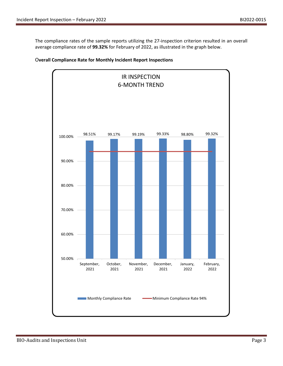The compliance rates of the sample reports utilizing the 27-inspection criterion resulted in an overall average compliance rate of **99.32%** for February of 2022, as illustrated in the graph below.



## O**verall Compliance Rate for Monthly Incident Report Inspections**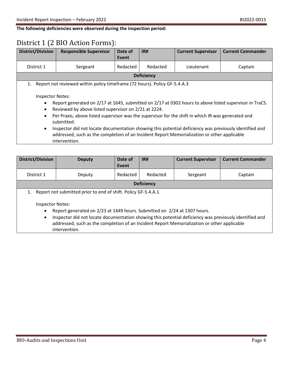**The following deficiencies were observed during the inspection period:**

# District 1 (2 BIO Action Forms):

| <b>District/Division</b>                                                                                                                                                                                                                                                                                                                                                                                                                                                                                                                                                                    | <b>Responsible Supervisor</b>                                             | Date of<br>Event | IR#      | <b>Current Supervisor</b> | <b>Current Commander</b> |
|---------------------------------------------------------------------------------------------------------------------------------------------------------------------------------------------------------------------------------------------------------------------------------------------------------------------------------------------------------------------------------------------------------------------------------------------------------------------------------------------------------------------------------------------------------------------------------------------|---------------------------------------------------------------------------|------------------|----------|---------------------------|--------------------------|
| District 1                                                                                                                                                                                                                                                                                                                                                                                                                                                                                                                                                                                  | Sergeant                                                                  | Redacted         | Redacted | Lieutenant                | Captain                  |
| <b>Deficiency</b>                                                                                                                                                                                                                                                                                                                                                                                                                                                                                                                                                                           |                                                                           |                  |          |                           |                          |
| 1.                                                                                                                                                                                                                                                                                                                                                                                                                                                                                                                                                                                          | Report not reviewed within policy timeframe (72 hours). Policy GF-5.4.A.3 |                  |          |                           |                          |
| <b>Inspector Notes:</b><br>Report generated on 2/17 at 1645, submitted on 2/17 at 0302 hours to above listed supervisor in TraCS.<br>$\bullet$<br>Reviewed by above listed supervisor on 2/21 at 2224.<br>$\bullet$<br>Per Praxis, above listed supervisor was the supervisor for the shift in which IR was generated and<br>$\bullet$<br>submitted.<br>Inspector did not locate documentation showing this potential deficiency was previously identified and<br>$\bullet$<br>addressed, such as the completion of an Incident Report Memorialization or other applicable<br>intervention. |                                                                           |                  |          |                           |                          |

| <b>District/Division</b>                                                                                                                                                                                                                                                                                                                                                                                                       | <b>Deputy</b>     | Date of<br>Event | IR#      | <b>Current Supervisor</b> | <b>Current Commander</b> |
|--------------------------------------------------------------------------------------------------------------------------------------------------------------------------------------------------------------------------------------------------------------------------------------------------------------------------------------------------------------------------------------------------------------------------------|-------------------|------------------|----------|---------------------------|--------------------------|
| District 1                                                                                                                                                                                                                                                                                                                                                                                                                     | Deputy            | Redacted         | Redacted | Sergeant                  | Captain                  |
|                                                                                                                                                                                                                                                                                                                                                                                                                                | <b>Deficiency</b> |                  |          |                           |                          |
| Report not submitted prior to end of shift. Policy GF-5.4.A.1<br>1.<br><b>Inspector Notes:</b><br>Report generated on 2/23 at 1449 hours. Submitted on 2/24 at 1307 hours.<br>$\bullet$<br>Inspector did not locate documentation showing this potential deficiency was previously identified and<br>$\bullet$<br>addressed, such as the completion of an Incident Report Memorialization or other applicable<br>intervention. |                   |                  |          |                           |                          |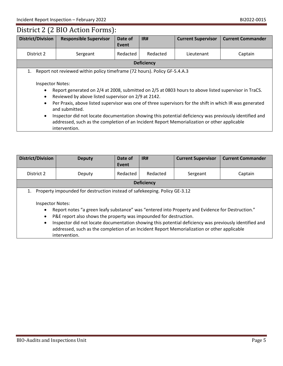# District 2 (2 BIO Action Forms):

| <b>District/Division</b>                                                                                                                                                                                                                                                                                                                                                                                                                                                                                                                                                                                                                             | <b>Responsible Supervisor</b> | Date of<br>Event | IR#      | <b>Current Supervisor</b> | <b>Current Commander</b> |
|------------------------------------------------------------------------------------------------------------------------------------------------------------------------------------------------------------------------------------------------------------------------------------------------------------------------------------------------------------------------------------------------------------------------------------------------------------------------------------------------------------------------------------------------------------------------------------------------------------------------------------------------------|-------------------------------|------------------|----------|---------------------------|--------------------------|
| District 2                                                                                                                                                                                                                                                                                                                                                                                                                                                                                                                                                                                                                                           | Sergeant                      | Redacted         | Redacted | Lieutenant                | Captain                  |
| <b>Deficiency</b>                                                                                                                                                                                                                                                                                                                                                                                                                                                                                                                                                                                                                                    |                               |                  |          |                           |                          |
| Report not reviewed within policy timeframe (72 hours). Policy GF-5.4.A.3<br>1.<br><b>Inspector Notes:</b><br>Report generated on 2/4 at 2008, submitted on 2/5 at 0803 hours to above listed supervisor in TraCS.<br>٠<br>Reviewed by above listed supervisor on 2/9 at 2142.<br>٠<br>Per Praxis, above listed supervisor was one of three supervisors for the shift in which IR was generated<br>$\bullet$<br>and submitted.<br>Inspector did not locate documentation showing this potential deficiency was previously identified and<br>$\bullet$<br>addressed, such as the completion of an Incident Report Memorialization or other applicable |                               |                  |          |                           |                          |

| <b>District/Division</b>                                                                                                                                                                                                                                                                                                                                                                                                                                                                                                                      | <b>Deputy</b> | Date of<br>Event | IR#      | <b>Current Supervisor</b> | <b>Current Commander</b> |
|-----------------------------------------------------------------------------------------------------------------------------------------------------------------------------------------------------------------------------------------------------------------------------------------------------------------------------------------------------------------------------------------------------------------------------------------------------------------------------------------------------------------------------------------------|---------------|------------------|----------|---------------------------|--------------------------|
| District 2                                                                                                                                                                                                                                                                                                                                                                                                                                                                                                                                    | Deputy        | Redacted         | Redacted | Sergeant                  | Captain                  |
| <b>Deficiency</b>                                                                                                                                                                                                                                                                                                                                                                                                                                                                                                                             |               |                  |          |                           |                          |
| Property impounded for destruction instead of safekeeping. Policy GE-3.12<br>1.<br>Inspector Notes:<br>Report notes "a green leafy substance" was "entered into Property and Evidence for Destruction."<br>$\bullet$<br>P&E report also shows the property was impounded for destruction.<br>$\bullet$<br>Inspector did not locate documentation showing this potential deficiency was previously identified and<br>$\bullet$<br>addressed, such as the completion of an Incident Report Memorialization or other applicable<br>intervention. |               |                  |          |                           |                          |